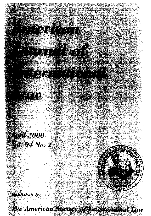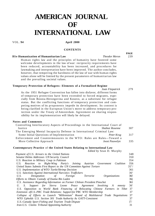# **AMERICAN JOURNAL OF INTERNATIONAL LAW**

#### VOL. **94 April 2000**

## **CONTENTS**

# **Hie Humanization of Humanitarian Law** *Theodor Meron*

Human rights law and the principles of humanity have fostered some welcome developments in the law of war: reciprocity requirements have been reduced, accountability has been increased, and procedures for lawmaking and interpretation have been improved. The author concludes, however, that tempering the harshness of the law of war with human rights values alone will be limited by the present parameters of humanitarian law and the prevailing societal values.

#### **Temporary Protection of Refugees: Elements of a Formalized Regime**

*Joan Fitzpatrick* 279

**PAGE** 

As the 1951 Refugee Convention has fallen into disfavor, different forms of temporary protection have been extended to forced migrants, especially from Bosnia-Herzegovina and Kosovo, as a substitute for refugee status. But the conflicting functions of temporary protection and competing motives of its proponents impede its development. Its content is being clarified in the European Union's move to address temporary protection under the Treaty of Amsterdam. Agreement on sharing responsibility for its implementation will likely be delayed.

## **Notes and Comments**

| Controlling Interlocutory Aspects of Proceedings in the International Court of |
|--------------------------------------------------------------------------------|
| 307<br>Shabtai Rosenne                                                         |
| The Emerging Mental Incapacity Defense in International Criminal Law:          |
| 317<br>Peter Krug                                                              |
| Enforcement and Countermeasures in the WTO: Rules are Rules—Toward a           |
| 335<br>Joost Pauwelyn                                                          |
|                                                                                |

# **Contemporary Practice** of **the United States Relating to International Law**

*Edited by* Sean D. Murphy

| Payment of U.S. Arrears to the United Nations                                                | 348             |
|----------------------------------------------------------------------------------------------|-----------------|
| Senator Helms Addresses UN Security Council                                                  | 350             |
| U.S. Reaction to Military Coup in Pakistan                                                   | 354             |
| Reaction to Right-Wing Party's Joining Austrian Government<br>Coalition<br>U.S.              | 356             |
| United States Submits First Report to the UN Committee Against Torture                       | $35^{1/2}$      |
| U.S. Implementation of WTO Turtle/Shrimp Decision                                            | 361             |
| U.S. Sanctions Against International Narcotics Traffickers                                   | 36 <sup>6</sup> |
| Foreign<br><i><b>Organizations</b></i><br>Designation<br>Terrorist<br>U.S.<br>οf             | 36f             |
| Efforts to Obtain Custody of Osama Bin Laden                                                 | 36(             |
| U.S. Assistance Regarding Information on Former Chilean President Pinochet                   | 361             |
| Support for Sierra Leone Peace Agreement Involving<br>U.<br>S.<br>$\boldsymbol{A}$<br>mnesty | 36'             |
| U.S. Opposition to World Bank Financing of Relocating Chinese Farmers in Tibet               | -37             |
| Extension of U.S.-PRC Trade Relations; Support for PRC WTO Membership                        | 37              |
| Collapse of Efforts to Launch "Millennium" Round of Multilateral Trade Negotiations          | 37              |
| WTO Upholds U.S. Section 301 Trade Authority As GATT-Consistent                              | 37              |
| U.S.-Canada Sport Fishing and Tourism Trade Dispute                                          | $3^{1/2}$       |
| <i>Iran-U.S.</i> Claims Tribunal Appointing Authority                                        | 31              |